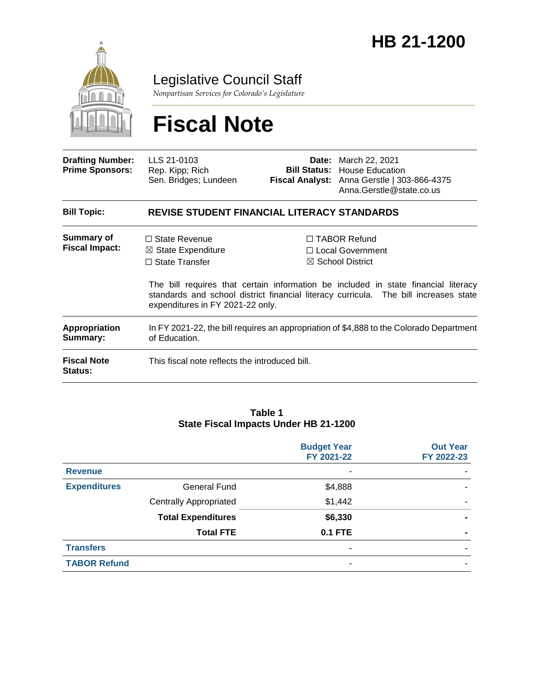

Legislative Council Staff

*Nonpartisan Services for Colorado's Legislature*

# **Fiscal Note**

| <b>Drafting Number:</b><br><b>Prime Sponsors:</b> | LLS 21-0103<br>Rep. Kipp; Rich<br>Sen. Bridges; Lundeen                                                            |  | <b>Date:</b> March 22, 2021<br><b>Bill Status: House Education</b><br>Fiscal Analyst: Anna Gerstle   303-866-4375<br>Anna.Gerstle@state.co.us                                                                                                          |  |  |  |
|---------------------------------------------------|--------------------------------------------------------------------------------------------------------------------|--|--------------------------------------------------------------------------------------------------------------------------------------------------------------------------------------------------------------------------------------------------------|--|--|--|
| <b>Bill Topic:</b>                                | <b>REVISE STUDENT FINANCIAL LITERACY STANDARDS</b>                                                                 |  |                                                                                                                                                                                                                                                        |  |  |  |
| Summary of<br><b>Fiscal Impact:</b>               | $\Box$ State Revenue<br>$\boxtimes$ State Expenditure<br>$\Box$ State Transfer<br>expenditures in FY 2021-22 only. |  | $\Box$ TABOR Refund<br>□ Local Government<br>$\boxtimes$ School District<br>The bill requires that certain information be included in state financial literacy<br>standards and school district financial literacy curricula. The bill increases state |  |  |  |
| Appropriation<br>Summary:                         | In FY 2021-22, the bill requires an appropriation of \$4,888 to the Colorado Department<br>of Education.           |  |                                                                                                                                                                                                                                                        |  |  |  |
| <b>Fiscal Note</b><br><b>Status:</b>              | This fiscal note reflects the introduced bill.                                                                     |  |                                                                                                                                                                                                                                                        |  |  |  |

#### **Table 1 State Fiscal Impacts Under HB 21-1200**

|                     |                               | <b>Budget Year</b><br>FY 2021-22 | <b>Out Year</b><br>FY 2022-23 |
|---------------------|-------------------------------|----------------------------------|-------------------------------|
| <b>Revenue</b>      |                               | ٠                                |                               |
| <b>Expenditures</b> | <b>General Fund</b>           | \$4,888                          |                               |
|                     | <b>Centrally Appropriated</b> | \$1,442                          |                               |
|                     | <b>Total Expenditures</b>     | \$6,330                          |                               |
|                     | <b>Total FTE</b>              | <b>0.1 FTE</b>                   | $\blacksquare$                |
| <b>Transfers</b>    |                               | ۰                                |                               |
| <b>TABOR Refund</b> |                               | ٠                                |                               |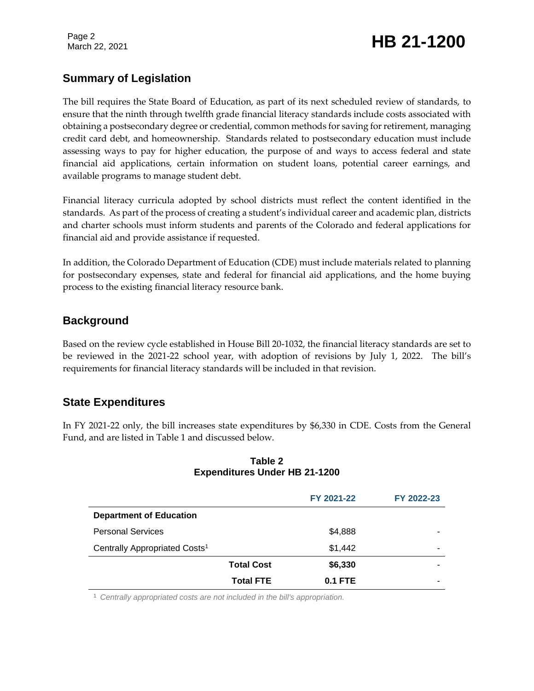Page 2

# March 22, 2021 **HB 21-1200**

# **Summary of Legislation**

The bill requires the State Board of Education, as part of its next scheduled review of standards, to ensure that the ninth through twelfth grade financial literacy standards include costs associated with obtaining a postsecondary degree or credential, common methods for saving for retirement, managing credit card debt, and homeownership. Standards related to postsecondary education must include assessing ways to pay for higher education, the purpose of and ways to access federal and state financial aid applications, certain information on student loans, potential career earnings, and available programs to manage student debt.

Financial literacy curricula adopted by school districts must reflect the content identified in the standards. As part of the process of creating a student's individual career and academic plan, districts and charter schools must inform students and parents of the Colorado and federal applications for financial aid and provide assistance if requested.

In addition, the Colorado Department of Education (CDE) must include materials related to planning for postsecondary expenses, state and federal for financial aid applications, and the home buying process to the existing financial literacy resource bank.

# **Background**

Based on the review cycle established in House Bill 20-1032, the financial literacy standards are set to be reviewed in the 2021-22 school year, with adoption of revisions by July 1, 2022. The bill's requirements for financial literacy standards will be included in that revision.

# **State Expenditures**

In FY 2021-22 only, the bill increases state expenditures by \$6,330 in CDE. Costs from the General Fund, and are listed in Table 1 and discussed below.

|                                           |                   | FY 2021-22 | FY 2022-23 |
|-------------------------------------------|-------------------|------------|------------|
| <b>Department of Education</b>            |                   |            |            |
| <b>Personal Services</b>                  |                   | \$4,888    | -          |
| Centrally Appropriated Costs <sup>1</sup> |                   | \$1,442    | ۰          |
|                                           | <b>Total Cost</b> | \$6,330    |            |
|                                           | <b>Total FTE</b>  | $0.1$ FTE  | -          |

#### **Table 2 Expenditures Under HB 21-1200**

<sup>1</sup> *Centrally appropriated costs are not included in the bill's appropriation.*